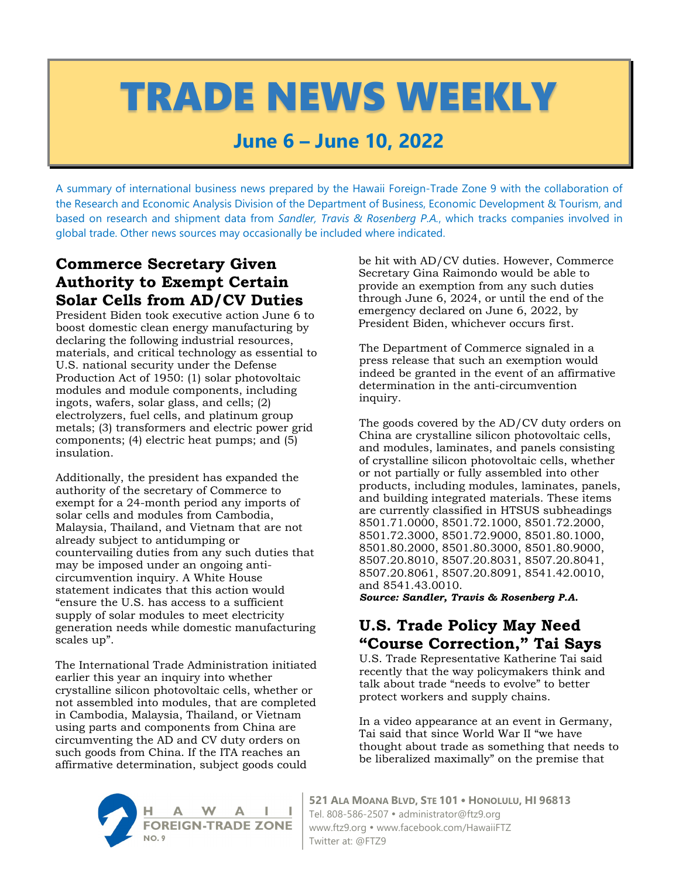# TRADE NEWS WEEKLY

# **June 6 – June 10, 2022**

A summary of international business news prepared by the Hawaii Foreign-Trade Zone 9 with the collaboration of the Research and Economic Analysis Division of the Department of Business, Economic Development & Tourism, and based on research and shipment data from *Sandler, Travis & Rosenberg P.A.*, which tracks companies involved in global trade. Other news sources may occasionally be included where indicated.

# **Commerce Secretary Given Authority to Exempt Certain Solar Cells from AD/CV Duties**

President Biden took executive action June 6 to boost domestic clean energy manufacturing by declaring the following industrial resources, materials, and critical technology as essential to U.S. national security under the Defense Production Act of 1950: (1) solar photovoltaic modules and module components, including ingots, wafers, solar glass, and cells; (2) electrolyzers, fuel cells, and platinum group metals; (3) transformers and electric power grid components; (4) electric heat pumps; and (5) insulation.

Additionally, the president has expanded the authority of the secretary of Commerce to exempt for a 24-month period any imports of solar cells and modules from Cambodia, Malaysia, Thailand, and Vietnam that are not already subject to antidumping or countervailing duties from any such duties that may be imposed under an ongoing anticircumvention inquiry. A White House statement indicates that this action would "ensure the U.S. has access to a sufficient supply of solar modules to meet electricity generation needs while domestic manufacturing scales up".

The International Trade Administration initiated earlier this year an inquiry into whether crystalline silicon photovoltaic cells, whether or not assembled into modules, that are completed in Cambodia, Malaysia, Thailand, or Vietnam using parts and components from China are circumventing the AD and CV duty orders on such goods from China. If the ITA reaches an affirmative determination, subject goods could

be hit with AD/CV duties. However, Commerce Secretary Gina Raimondo would be able to provide an exemption from any such duties through June 6, 2024, or until the end of the emergency declared on June 6, 2022, by President Biden, whichever occurs first.

The Department of Commerce signaled in a press release that such an exemption would indeed be granted in the event of an affirmative determination in the anti-circumvention inquiry.

The goods covered by the AD/CV duty orders on China are crystalline silicon photovoltaic cells, and modules, laminates, and panels consisting of crystalline silicon photovoltaic cells, whether or not partially or fully assembled into other products, including modules, laminates, panels, and building integrated materials. These items are currently classified in HTSUS subheadings 8501.71.0000, 8501.72.1000, 8501.72.2000, 8501.72.3000, 8501.72.9000, 8501.80.1000, 8501.80.2000, 8501.80.3000, 8501.80.9000, 8507.20.8010, 8507.20.8031, 8507.20.8041, 8507.20.8061, 8507.20.8091, 8541.42.0010, and 8541.43.0010. *Source: Sandler, Travis & Rosenberg P.A.*

# **U.S. Trade Policy May Need**

# **"Course Correction," Tai Says**

U.S. Trade Representative Katherine Tai said recently that the way policymakers think and talk about trade "needs to evolve" to better protect workers and supply chains.

In a video appearance at an event in Germany, Tai said that since World War II "we have thought about trade as something that needs to be liberalized maximally" on the premise that



**521 ALA MOANA BLVD, STE 101 HONOLULU, HI 96813** Tel. 808-586-2507 administrator@ftz9.org www.ftz9.org • www.facebook.com/HawaiiFTZ Twitter at: @FTZ9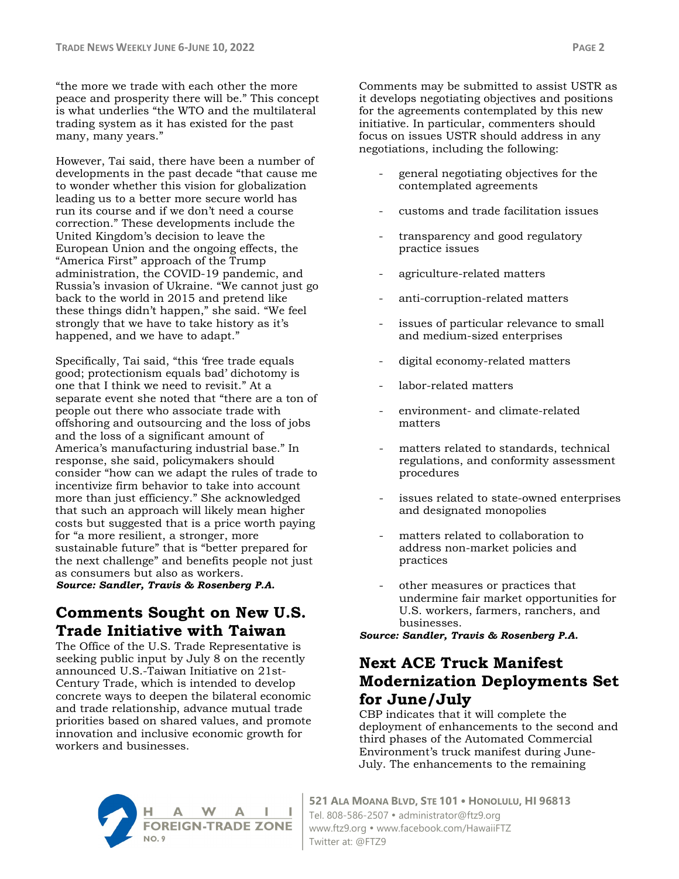"the more we trade with each other the more peace and prosperity there will be." This concept is what underlies "the WTO and the multilateral trading system as it has existed for the past many, many years."

However, Tai said, there have been a number of developments in the past decade "that cause me to wonder whether this vision for globalization leading us to a better more secure world has run its course and if we don't need a course correction." These developments include the United Kingdom's decision to leave the European Union and the ongoing effects, the "America First" approach of the Trump administration, the COVID-19 pandemic, and Russia's invasion of Ukraine. "We cannot just go back to the world in 2015 and pretend like these things didn't happen," she said. "We feel strongly that we have to take history as it's happened, and we have to adapt."

Specifically, Tai said, "this 'free trade equals good; protectionism equals bad' dichotomy is one that I think we need to revisit." At a separate event she noted that "there are a ton of people out there who associate trade with offshoring and outsourcing and the loss of jobs and the loss of a significant amount of America's manufacturing industrial base." In response, she said, policymakers should consider "how can we adapt the rules of trade to incentivize firm behavior to take into account more than just efficiency." She acknowledged that such an approach will likely mean higher costs but suggested that is a price worth paying for "a more resilient, a stronger, more sustainable future" that is "better prepared for the next challenge" and benefits people not just as consumers but also as workers. *Source: Sandler, Travis & Rosenberg P.A.*

### **Comments Sought on New U.S. Trade Initiative with Taiwan**

The Office of the U.S. Trade Representative is seeking public input by July 8 on the recently announced U.S.-Taiwan Initiative on 21st-Century Trade, which is intended to develop concrete ways to deepen the bilateral economic and trade relationship, advance mutual trade priorities based on shared values, and promote innovation and inclusive economic growth for workers and businesses.

Comments may be submitted to assist USTR as it develops negotiating objectives and positions for the agreements contemplated by this new initiative. In particular, commenters should focus on issues USTR should address in any negotiations, including the following:

- general negotiating objectives for the contemplated agreements
- customs and trade facilitation issues
- transparency and good regulatory practice issues
- agriculture-related matters
- anti-corruption-related matters
- issues of particular relevance to small and medium-sized enterprises
- digital economy-related matters
- labor-related matters
- environment- and climate-related matters
- matters related to standards, technical regulations, and conformity assessment procedures
- issues related to state-owned enterprises and designated monopolies
- matters related to collaboration to address non-market policies and practices
- other measures or practices that undermine fair market opportunities for U.S. workers, farmers, ranchers, and businesses.

*Source: Sandler, Travis & Rosenberg P.A.*

# **Next ACE Truck Manifest Modernization Deployments Set for June/July**

CBP indicates that it will complete the deployment of enhancements to the second and third phases of the Automated Commercial Environment's truck manifest during June-July. The enhancements to the remaining



**521 ALA MOANA BLVD, STE 101 HONOLULU, HI 96813** Tel. 808-586-2507 administrator@ftz9.org www.ftz9.org • www.facebook.com/HawaiiFTZ Twitter at: @FTZ9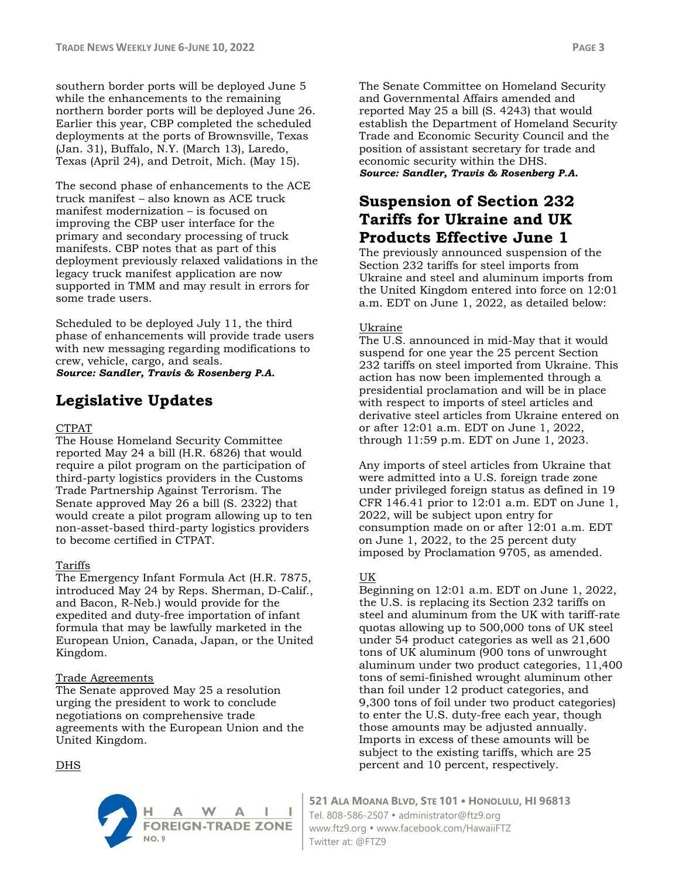southern border ports will be deployed June 5 while the enhancements to the remaining northern border ports will be deployed June 26. Earlier this year, CBP completed the scheduled deployments at the ports of Brownsville, Texas (Jan. 31), Buffalo, N.Y. (March 13), Laredo, Texas (April 24), and Detroit, Mich. (May 15).

The second phase of enhancements to the ACE truck manifest – also known as ACE truck manifest modernization – is focused on improving the CBP user interface for the primary and secondary processing of truck manifests. CBP notes that as part of this deployment previously relaxed validations in the legacy truck manifest application are now supported in TMM and may result in errors for some trade users.

Scheduled to be deployed July 11, the third phase of enhancements will provide trade users with new messaging regarding modifications to crew, vehicle, cargo, and seals. *Source: Sandler, Travis & Rosenberg P.A.*

# **Legislative Updates**

#### CTPAT

The House Homeland Security Committee reported May 24 a bill (H.R. 6826) that would require a pilot program on the participation of third-party logistics providers in the Customs Trade Partnership Against Terrorism. The Senate approved May 26 a bill (S. 2322) that would create a pilot program allowing up to ten non-asset-based third-party logistics providers to become certified in CTPAT.

#### Tariffs

DHS

The Emergency Infant Formula Act (H.R. 7875, introduced May 24 by Reps. Sherman, D-Calif., and Bacon, R-Neb.) would provide for the expedited and duty-free importation of infant formula that may be lawfully marketed in the European Union, Canada, Japan, or the United Kingdom.

#### Trade Agreements

The Senate approved May 25 a resolution urging the president to work to conclude negotiations on comprehensive trade agreements with the European Union and the United Kingdom.

The Senate Committee on Homeland Security and Governmental Affairs amended and reported May 25 a bill (S. 4243) that would establish the Department of Homeland Security Trade and Economic Security Council and the position of assistant secretary for trade and economic security within the DHS. *Source: Sandler, Travis & Rosenberg P.A.*

# **Suspension of Section 232 Tariffs for Ukraine and UK Products Effective June 1**

The previously announced suspension of the Section 232 tariffs for steel imports from Ukraine and steel and aluminum imports from the United Kingdom entered into force on 12:01 a.m. EDT on June 1, 2022, as detailed below:

#### Ukraine

The U.S. announced in mid-May that it would suspend for one year the 25 percent Section 232 tariffs on steel imported from Ukraine. This action has now been implemented through a presidential proclamation and will be in place with respect to imports of steel articles and derivative steel articles from Ukraine entered on or after 12:01 a.m. EDT on June 1, 2022, through 11:59 p.m. EDT on June 1, 2023.

Any imports of steel articles from Ukraine that were admitted into a U.S. foreign trade zone under privileged foreign status as defined in 19 CFR 146.41 prior to 12:01 a.m. EDT on June 1, 2022, will be subject upon entry for consumption made on or after 12:01 a.m. EDT on June 1, 2022, to the 25 percent duty imposed by Proclamation 9705, as amended.

#### UK

Beginning on 12:01 a.m. EDT on June 1, 2022, the U.S. is replacing its Section 232 tariffs on steel and aluminum from the UK with tariff-rate quotas allowing up to 500,000 tons of UK steel under 54 product categories as well as 21,600 tons of UK aluminum (900 tons of unwrought aluminum under two product categories, 11,400 tons of semi-finished wrought aluminum other than foil under 12 product categories, and 9,300 tons of foil under two product categories) to enter the U.S. duty-free each year, though those amounts may be adjusted annually. Imports in excess of these amounts will be subject to the existing tariffs, which are 25 percent and 10 percent, respectively.



**521 ALA MOANA BLVD, STE 101 HONOLULU, HI 96813** Tel. 808-586-2507 administrator@ftz9.org www.ftz9.org • www.facebook.com/HawaiiFTZ Twitter at: @FTZ9